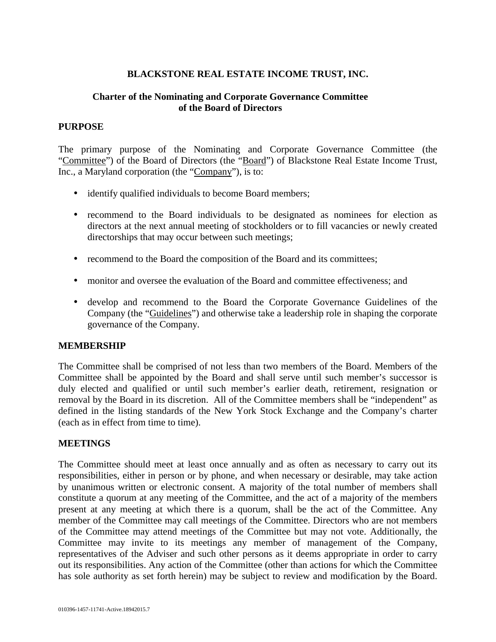# **BLACKSTONE REAL ESTATE INCOME TRUST, INC.**

### **Charter of the Nominating and Corporate Governance Committee of the Board of Directors**

#### **PURPOSE**

The primary purpose of the Nominating and Corporate Governance Committee (the "Committee") of the Board of Directors (the "Board") of Blackstone Real Estate Income Trust, Inc., a Maryland corporation (the "Company"), is to:

- identify qualified individuals to become Board members;
- recommend to the Board individuals to be designated as nominees for election as directors at the next annual meeting of stockholders or to fill vacancies or newly created directorships that may occur between such meetings;
- recommend to the Board the composition of the Board and its committees;
- monitor and oversee the evaluation of the Board and committee effectiveness; and
- develop and recommend to the Board the Corporate Governance Guidelines of the Company (the "Guidelines") and otherwise take a leadership role in shaping the corporate governance of the Company.

#### **MEMBERSHIP**

The Committee shall be comprised of not less than two members of the Board. Members of the Committee shall be appointed by the Board and shall serve until such member's successor is duly elected and qualified or until such member's earlier death, retirement, resignation or removal by the Board in its discretion. All of the Committee members shall be "independent" as defined in the listing standards of the New York Stock Exchange and the Company's charter (each as in effect from time to time).

#### **MEETINGS**

The Committee should meet at least once annually and as often as necessary to carry out its responsibilities, either in person or by phone, and when necessary or desirable, may take action by unanimous written or electronic consent. A majority of the total number of members shall constitute a quorum at any meeting of the Committee, and the act of a majority of the members present at any meeting at which there is a quorum, shall be the act of the Committee. Any member of the Committee may call meetings of the Committee. Directors who are not members of the Committee may attend meetings of the Committee but may not vote. Additionally, the Committee may invite to its meetings any member of management of the Company, representatives of the Adviser and such other persons as it deems appropriate in order to carry out its responsibilities. Any action of the Committee (other than actions for which the Committee has sole authority as set forth herein) may be subject to review and modification by the Board.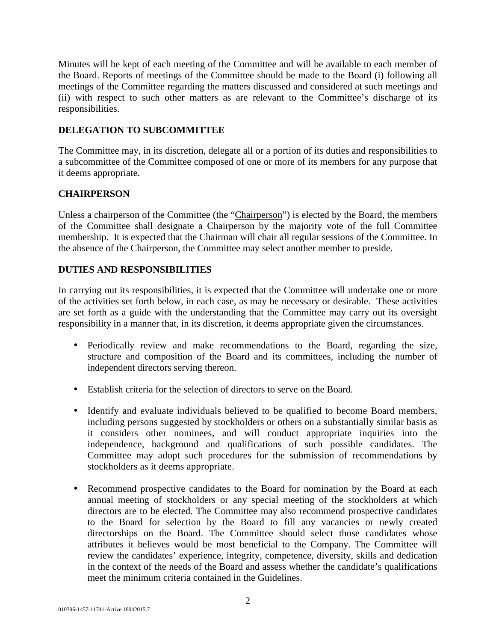Minutes will be kept of each meeting of the Committee and will be available to each member of the Board. Reports of meetings of the Committee should be made to the Board (i) following all meetings of the Committee regarding the matters discussed and considered at such meetings and (ii) with respect to such other matters as are relevant to the Committee's discharge of its responsibilities.

# **DELEGATION TO SUBCOMMITTEE**

The Committee may, in its discretion, delegate all or a portion of its duties and responsibilities to a subcommittee of the Committee composed of one or more of its members for any purpose that it deems appropriate.

# **CHAIRPERSON**

Unless a chairperson of the Committee (the "Chairperson") is elected by the Board, the members of the Committee shall designate a Chairperson by the majority vote of the full Committee membership. It is expected that the Chairman will chair all regular sessions of the Committee. In the absence of the Chairperson, the Committee may select another member to preside.

### **DUTIES AND RESPONSIBILITIES**

In carrying out its responsibilities, it is expected that the Committee will undertake one or more of the activities set forth below, in each case, as may be necessary or desirable. These activities are set forth as a guide with the understanding that the Committee may carry out its oversight responsibility in a manner that, in its discretion, it deems appropriate given the circumstances.

- Periodically review and make recommendations to the Board, regarding the size, structure and composition of the Board and its committees, including the number of independent directors serving thereon.
- Establish criteria for the selection of directors to serve on the Board.
- Identify and evaluate individuals believed to be qualified to become Board members, including persons suggested by stockholders or others on a substantially similar basis as it considers other nominees, and will conduct appropriate inquiries into the independence, background and qualifications of such possible candidates. The Committee may adopt such procedures for the submission of recommendations by stockholders as it deems appropriate.
- Recommend prospective candidates to the Board for nomination by the Board at each annual meeting of stockholders or any special meeting of the stockholders at which directors are to be elected. The Committee may also recommend prospective candidates to the Board for selection by the Board to fill any vacancies or newly created directorships on the Board. The Committee should select those candidates whose attributes it believes would be most beneficial to the Company. The Committee will review the candidates' experience, integrity, competence, diversity, skills and dedication in the context of the needs of the Board and assess whether the candidate's qualifications meet the minimum criteria contained in the Guidelines.